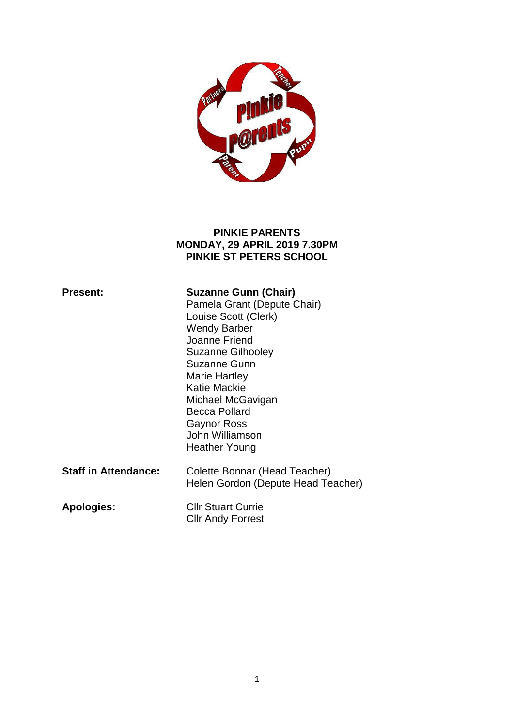

#### **PINKIE PARENTS MONDAY, 29 APRIL 2019 7.30PM PINKIE ST PETERS SCHOOL**

| <b>Present:</b>             | <b>Suzanne Gunn (Chair)</b><br>Pamela Grant (Depute Chair)<br>Louise Scott (Clerk)<br><b>Wendy Barber</b><br>Joanne Friend<br><b>Suzanne Gilhooley</b><br>Suzanne Gunn<br>Marie Hartley<br>Katie Mackie<br>Michael McGavigan<br><b>Becca Pollard</b><br>Gaynor Ross<br>John Williamson<br>Heather Young |
|-----------------------------|---------------------------------------------------------------------------------------------------------------------------------------------------------------------------------------------------------------------------------------------------------------------------------------------------------|
| <b>Staff in Attendance:</b> | Colette Bonnar (Head Teacher)<br>Helen Gordon (Depute Head Teacher)                                                                                                                                                                                                                                     |
| <b>Apologies:</b>           | <b>Cllr Stuart Currie</b><br><b>CIIr Andy Forrest</b>                                                                                                                                                                                                                                                   |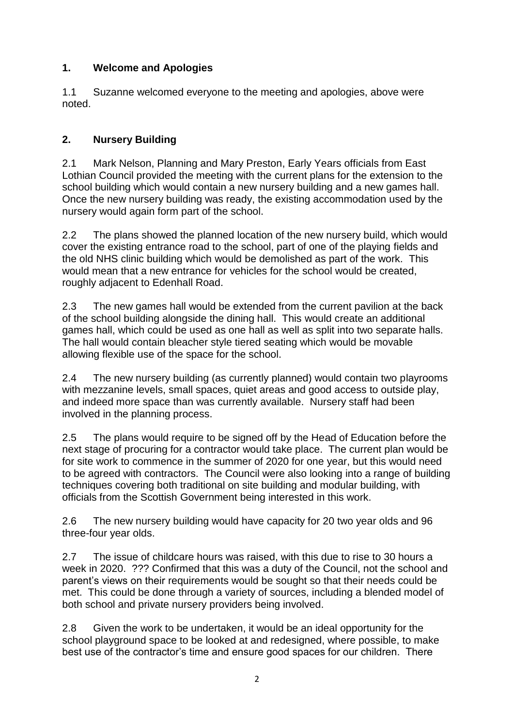## **1. Welcome and Apologies**

1.1 Suzanne welcomed everyone to the meeting and apologies, above were noted.

# **2. Nursery Building**

2.1 Mark Nelson, Planning and Mary Preston, Early Years officials from East Lothian Council provided the meeting with the current plans for the extension to the school building which would contain a new nursery building and a new games hall. Once the new nursery building was ready, the existing accommodation used by the nursery would again form part of the school.

2.2 The plans showed the planned location of the new nursery build, which would cover the existing entrance road to the school, part of one of the playing fields and the old NHS clinic building which would be demolished as part of the work. This would mean that a new entrance for vehicles for the school would be created, roughly adjacent to Edenhall Road.

2.3 The new games hall would be extended from the current pavilion at the back of the school building alongside the dining hall. This would create an additional games hall, which could be used as one hall as well as split into two separate halls. The hall would contain bleacher style tiered seating which would be movable allowing flexible use of the space for the school.

2.4 The new nursery building (as currently planned) would contain two playrooms with mezzanine levels, small spaces, quiet areas and good access to outside play, and indeed more space than was currently available. Nursery staff had been involved in the planning process.

2.5 The plans would require to be signed off by the Head of Education before the next stage of procuring for a contractor would take place. The current plan would be for site work to commence in the summer of 2020 for one year, but this would need to be agreed with contractors. The Council were also looking into a range of building techniques covering both traditional on site building and modular building, with officials from the Scottish Government being interested in this work.

2.6 The new nursery building would have capacity for 20 two year olds and 96 three-four year olds.

2.7 The issue of childcare hours was raised, with this due to rise to 30 hours a week in 2020. ??? Confirmed that this was a duty of the Council, not the school and parent's views on their requirements would be sought so that their needs could be met. This could be done through a variety of sources, including a blended model of both school and private nursery providers being involved.

2.8 Given the work to be undertaken, it would be an ideal opportunity for the school playground space to be looked at and redesigned, where possible, to make best use of the contractor's time and ensure good spaces for our children. There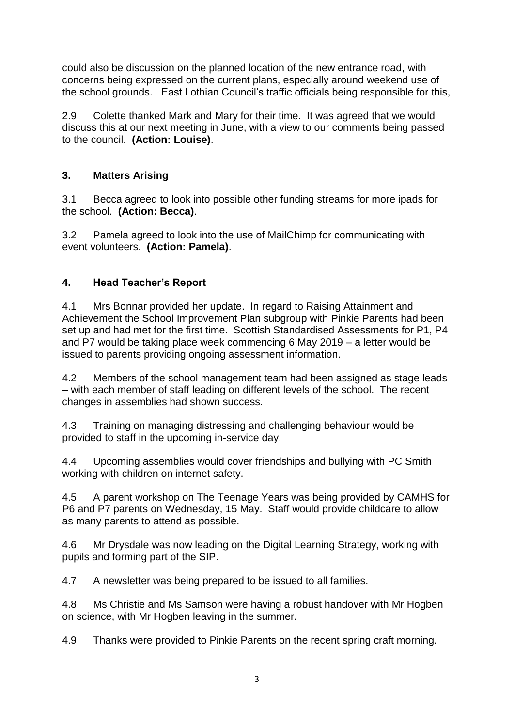could also be discussion on the planned location of the new entrance road, with concerns being expressed on the current plans, especially around weekend use of the school grounds. East Lothian Council's traffic officials being responsible for this,

2.9 Colette thanked Mark and Mary for their time. It was agreed that we would discuss this at our next meeting in June, with a view to our comments being passed to the council. **(Action: Louise)**.

### **3. Matters Arising**

3.1 Becca agreed to look into possible other funding streams for more ipads for the school. **(Action: Becca)**.

3.2 Pamela agreed to look into the use of MailChimp for communicating with event volunteers. **(Action: Pamela)**.

### **4. Head Teacher's Report**

4.1 Mrs Bonnar provided her update. In regard to Raising Attainment and Achievement the School Improvement Plan subgroup with Pinkie Parents had been set up and had met for the first time. Scottish Standardised Assessments for P1, P4 and P7 would be taking place week commencing 6 May 2019 – a letter would be issued to parents providing ongoing assessment information.

4.2 Members of the school management team had been assigned as stage leads – with each member of staff leading on different levels of the school. The recent changes in assemblies had shown success.

4.3 Training on managing distressing and challenging behaviour would be provided to staff in the upcoming in-service day.

4.4 Upcoming assemblies would cover friendships and bullying with PC Smith working with children on internet safety.

4.5 A parent workshop on The Teenage Years was being provided by CAMHS for P6 and P7 parents on Wednesday, 15 May. Staff would provide childcare to allow as many parents to attend as possible.

4.6 Mr Drysdale was now leading on the Digital Learning Strategy, working with pupils and forming part of the SIP.

4.7 A newsletter was being prepared to be issued to all families.

4.8 Ms Christie and Ms Samson were having a robust handover with Mr Hogben on science, with Mr Hogben leaving in the summer.

4.9 Thanks were provided to Pinkie Parents on the recent spring craft morning.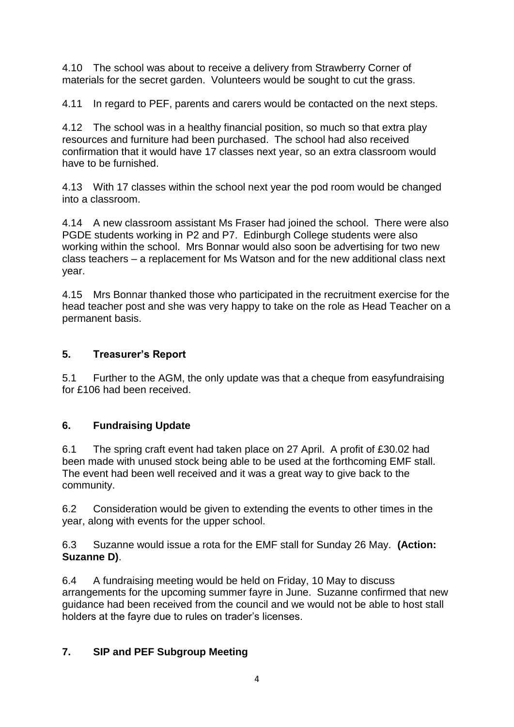4.10 The school was about to receive a delivery from Strawberry Corner of materials for the secret garden. Volunteers would be sought to cut the grass.

4.11 In regard to PEF, parents and carers would be contacted on the next steps.

4.12 The school was in a healthy financial position, so much so that extra play resources and furniture had been purchased. The school had also received confirmation that it would have 17 classes next year, so an extra classroom would have to be furnished.

4.13 With 17 classes within the school next year the pod room would be changed into a classroom.

4.14 A new classroom assistant Ms Fraser had joined the school. There were also PGDE students working in P2 and P7. Edinburgh College students were also working within the school. Mrs Bonnar would also soon be advertising for two new class teachers – a replacement for Ms Watson and for the new additional class next year.

4.15 Mrs Bonnar thanked those who participated in the recruitment exercise for the head teacher post and she was very happy to take on the role as Head Teacher on a permanent basis.

### **5. Treasurer's Report**

5.1 Further to the AGM, the only update was that a cheque from easyfundraising for £106 had been received.

#### **6. Fundraising Update**

6.1 The spring craft event had taken place on 27 April. A profit of £30.02 had been made with unused stock being able to be used at the forthcoming EMF stall. The event had been well received and it was a great way to give back to the community.

6.2 Consideration would be given to extending the events to other times in the year, along with events for the upper school.

6.3 Suzanne would issue a rota for the EMF stall for Sunday 26 May. **(Action: Suzanne D)**.

6.4 A fundraising meeting would be held on Friday, 10 May to discuss arrangements for the upcoming summer fayre in June. Suzanne confirmed that new guidance had been received from the council and we would not be able to host stall holders at the fayre due to rules on trader's licenses.

## **7. SIP and PEF Subgroup Meeting**